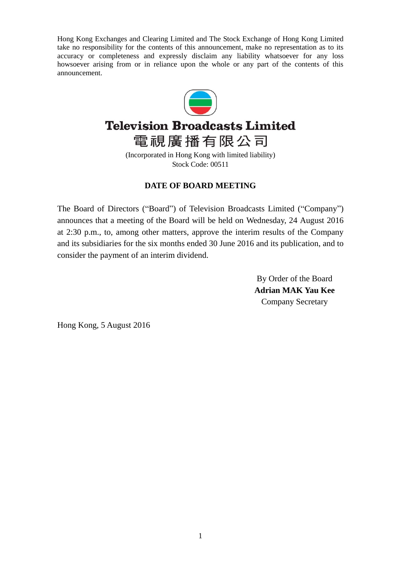Hong Kong Exchanges and Clearing Limited and The Stock Exchange of Hong Kong Limited take no responsibility for the contents of this announcement, make no representation as to its accuracy or completeness and expressly disclaim any liability whatsoever for any loss howsoever arising from or in reliance upon the whole or any part of the contents of this announcement.



# **Television Broadcasts Limited**

電視廣播有限公司 (Incorporated in Hong Kong with limited liability) Stock Code: 00511

# **DATE OF BOARD MEETING**

The Board of Directors ("Board") of Television Broadcasts Limited ("Company") announces that a meeting of the Board will be held on Wednesday, 24 August 2016 at 2:30 p.m., to, among other matters, approve the interim results of the Company and its subsidiaries for the six months ended 30 June 2016 and its publication, and to consider the payment of an interim dividend.

> By Order of the Board **Adrian MAK Yau Kee** Company Secretary

Hong Kong, 5 August 2016